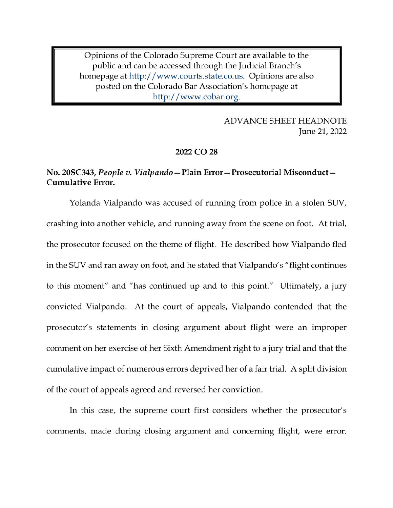Opinions of the Colorado Supreme Court are available to the public and can be accessed through the Judicial Branch's homepage at http://www.courts.state.co.us. Opinions are also posted on the Colorado Bar Association's homepage at http://www.cobar.org.

> **ADVANCE SHEET HEADNOTE** June 21, 2022

## 2022 CO 28

## No. 20SC343, People v. Vialpando - Plain Error - Prosecutorial Misconduct -**Cumulative Error.**

Yolanda Vialpando was accused of running from police in a stolen SUV, crashing into another vehicle, and running away from the scene on foot. At trial, the prosecutor focused on the theme of flight. He described how Vialpando fled in the SUV and ran away on foot, and he stated that Vialpando's "flight continues to this moment" and "has continued up and to this point." Ultimately, a jury convicted Vialpando. At the court of appeals, Vialpando contended that the prosecutor's statements in closing argument about flight were an improper comment on her exercise of her Sixth Amendment right to a jury trial and that the cumulative impact of numerous errors deprived her of a fair trial. A split division of the court of appeals agreed and reversed her conviction.

In this case, the supreme court first considers whether the prosecutor's comments, made during closing argument and concerning flight, were error.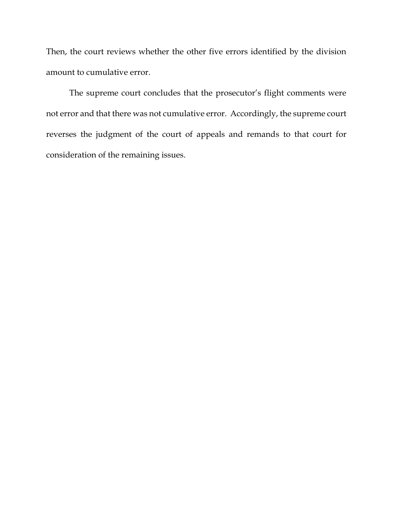Then, the court reviews whether the other five errors identified by the division amount to cumulative error.

The supreme court concludes that the prosecutor's flight comments were not error and that there was not cumulative error. Accordingly, the supreme court reverses the judgment of the court of appeals and remands to that court for consideration of the remaining issues.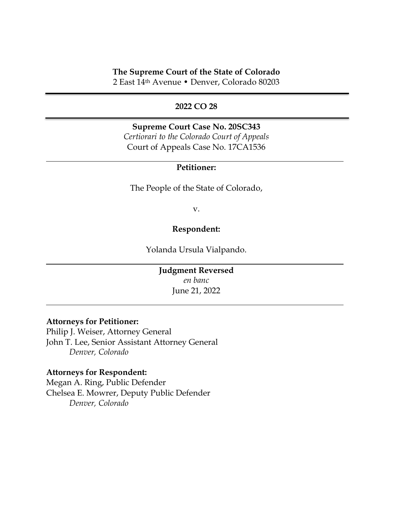## **The Supreme Court of the State of Colorado**

2 East 14th Avenue • Denver, Colorado 80203

#### **2022 CO 28**

**Supreme Court Case No. 20SC343** *Certiorari to the Colorado Court of Appeals* Court of Appeals Case No. 17CA1536

### **Petitioner:**

The People of the State of Colorado,

v.

#### **Respondent:**

Yolanda Ursula Vialpando.

**Judgment Reversed** *en banc* June 21, 2022

## **Attorneys for Petitioner:**

Philip J. Weiser, Attorney General John T. Lee, Senior Assistant Attorney General *Denver, Colorado*

#### **Attorneys for Respondent:**

Megan A. Ring, Public Defender Chelsea E. Mowrer, Deputy Public Defender *Denver, Colorado*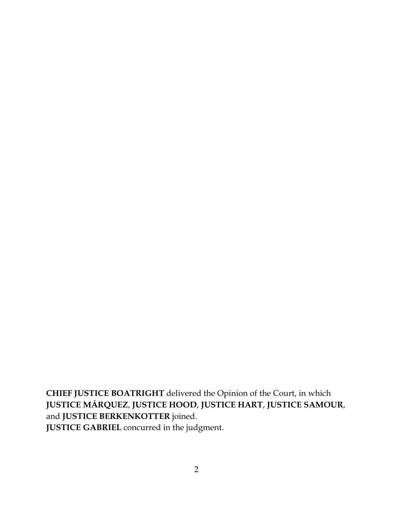**CHIEF JUSTICE BOATRIGHT** delivered the Opinion of the Court, in which **JUSTICE MÁRQUEZ**, **JUSTICE HOOD**, **JUSTICE HART**, **JUSTICE SAMOUR**, and **JUSTICE BERKENKOTTER** joined. **JUSTICE GABRIEL** concurred in the judgment.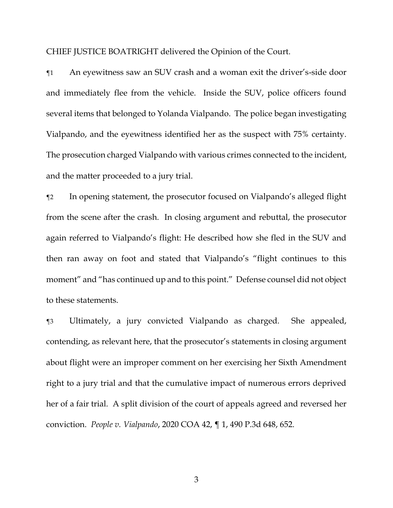CHIEF JUSTICE BOATRIGHT delivered the Opinion of the Court.

¶1 An eyewitness saw an SUV crash and a woman exit the driver's-side door and immediately flee from the vehicle. Inside the SUV, police officers found several items that belonged to Yolanda Vialpando. The police began investigating Vialpando, and the eyewitness identified her as the suspect with 75% certainty. The prosecution charged Vialpando with various crimes connected to the incident, and the matter proceeded to a jury trial.

¶2 In opening statement, the prosecutor focused on Vialpando's alleged flight from the scene after the crash. In closing argument and rebuttal, the prosecutor again referred to Vialpando's flight: He described how she fled in the SUV and then ran away on foot and stated that Vialpando's "flight continues to this moment" and "has continued up and to this point." Defense counsel did not object to these statements.

¶3 Ultimately, a jury convicted Vialpando as charged. She appealed, contending, as relevant here, that the prosecutor's statements in closing argument about flight were an improper comment on her exercising her Sixth Amendment right to a jury trial and that the cumulative impact of numerous errors deprived her of a fair trial. A split division of the court of appeals agreed and reversed her conviction. *People v. Vialpando*, 2020 COA 42, ¶ 1, 490 P.3d 648, 652.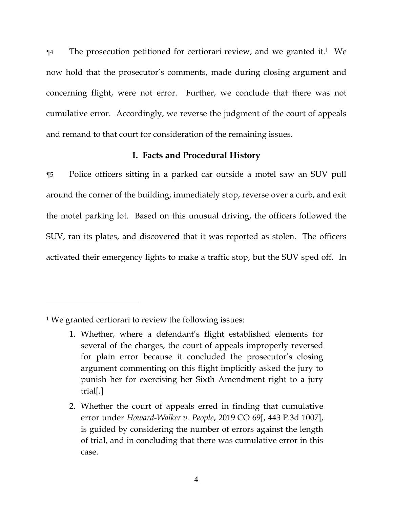¶4 The prosecution petitioned for certiorari review, and we granted it. <sup>1</sup> We now hold that the prosecutor's comments, made during closing argument and concerning flight, were not error. Further, we conclude that there was not cumulative error. Accordingly, we reverse the judgment of the court of appeals and remand to that court for consideration of the remaining issues.

## **I. Facts and Procedural History**

¶5 Police officers sitting in a parked car outside a motel saw an SUV pull around the corner of the building, immediately stop, reverse over a curb, and exit the motel parking lot. Based on this unusual driving, the officers followed the SUV, ran its plates, and discovered that it was reported as stolen. The officers activated their emergency lights to make a traffic stop, but the SUV sped off. In

<sup>1</sup> We granted certiorari to review the following issues:

<sup>1.</sup> Whether, where a defendant's flight established elements for several of the charges, the court of appeals improperly reversed for plain error because it concluded the prosecutor's closing argument commenting on this flight implicitly asked the jury to punish her for exercising her Sixth Amendment right to a jury trial[.]

<sup>2.</sup> Whether the court of appeals erred in finding that cumulative error under *Howard-Walker v. People*, 2019 CO 69[, 443 P.3d 1007], is guided by considering the number of errors against the length of trial, and in concluding that there was cumulative error in this case.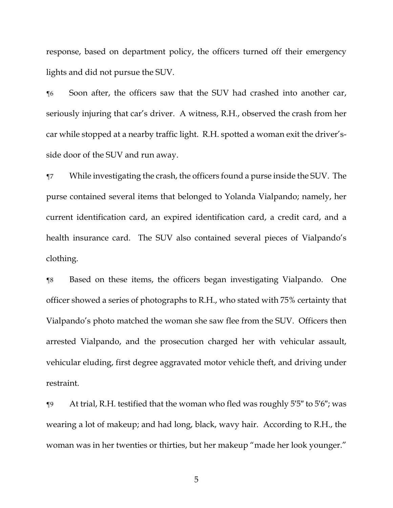response, based on department policy, the officers turned off their emergency lights and did not pursue the SUV.

¶6 Soon after, the officers saw that the SUV had crashed into another car, seriously injuring that car's driver. A witness, R.H., observed the crash from her car while stopped at a nearby traffic light. R.H. spotted a woman exit the driver'sside door of the SUV and run away.

¶7 While investigating the crash, the officers found a purse inside the SUV. The purse contained several items that belonged to Yolanda Vialpando; namely, her current identification card, an expired identification card, a credit card, and a health insurance card. The SUV also contained several pieces of Vialpando's clothing.

¶8 Based on these items, the officers began investigating Vialpando. One officer showed a series of photographs to R.H., who stated with 75% certainty that Vialpando's photo matched the woman she saw flee from the SUV. Officers then arrested Vialpando, and the prosecution charged her with vehicular assault, vehicular eluding, first degree aggravated motor vehicle theft, and driving under restraint.

¶9 At trial, R.H. testified that the woman who fled was roughly 5′5″ to 5′6″; was wearing a lot of makeup; and had long, black, wavy hair. According to R.H., the woman was in her twenties or thirties, but her makeup "made her look younger."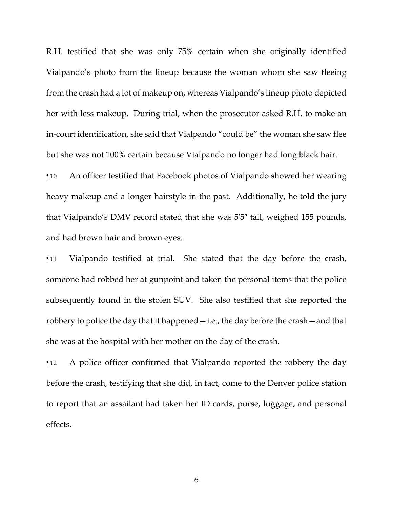R.H. testified that she was only 75% certain when she originally identified Vialpando's photo from the lineup because the woman whom she saw fleeing from the crash had a lot of makeup on, whereas Vialpando's lineup photo depicted her with less makeup. During trial, when the prosecutor asked R.H. to make an in-court identification, she said that Vialpando "could be" the woman she saw flee but she was not 100% certain because Vialpando no longer had long black hair.

¶10 An officer testified that Facebook photos of Vialpando showed her wearing heavy makeup and a longer hairstyle in the past. Additionally, he told the jury that Vialpando's DMV record stated that she was 5′5″ tall, weighed 155 pounds, and had brown hair and brown eyes.

¶11 Vialpando testified at trial. She stated that the day before the crash, someone had robbed her at gunpoint and taken the personal items that the police subsequently found in the stolen SUV. She also testified that she reported the robbery to police the day that it happened—i.e., the day before the crash—and that she was at the hospital with her mother on the day of the crash.

¶12 A police officer confirmed that Vialpando reported the robbery the day before the crash, testifying that she did, in fact, come to the Denver police station to report that an assailant had taken her ID cards, purse, luggage, and personal effects.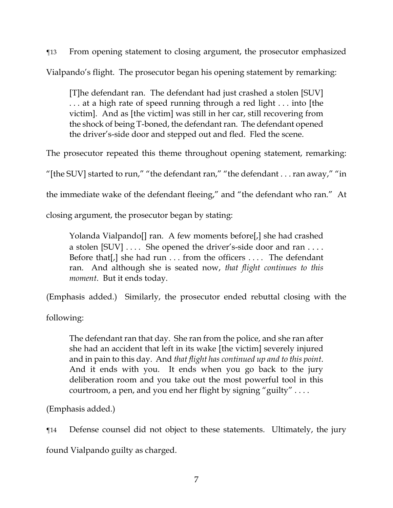¶13 From opening statement to closing argument, the prosecutor emphasized Vialpando's flight. The prosecutor began his opening statement by remarking:

[T]he defendant ran. The defendant had just crashed a stolen [SUV] . . . at a high rate of speed running through a red light . . . into [the victim]. And as [the victim] was still in her car, still recovering from the shock of being T-boned, the defendant ran. The defendant opened the driver's-side door and stepped out and fled. Fled the scene.

The prosecutor repeated this theme throughout opening statement, remarking:

"[the SUV] started to run," "the defendant ran," "the defendant . . . ran away," "in

the immediate wake of the defendant fleeing," and "the defendant who ran." At

closing argument, the prosecutor began by stating:

Yolanda Vialpando[] ran. A few moments before[,] she had crashed a stolen  $[SUV] \ldots$ . She opened the driver's-side door and ran ... Before that[,] she had run . . . from the officers . . . . The defendant ran. And although she is seated now, *that flight continues to this moment*. But it ends today.

(Emphasis added.) Similarly, the prosecutor ended rebuttal closing with the

following:

The defendant ran that day. She ran from the police, and she ran after she had an accident that left in its wake [the victim] severely injured and in pain to this day. And *that flight has continued up and to this point*. And it ends with you. It ends when you go back to the jury deliberation room and you take out the most powerful tool in this courtroom, a pen, and you end her flight by signing "guilty" . . . .

(Emphasis added.)

¶14 Defense counsel did not object to these statements. Ultimately, the jury

found Vialpando guilty as charged.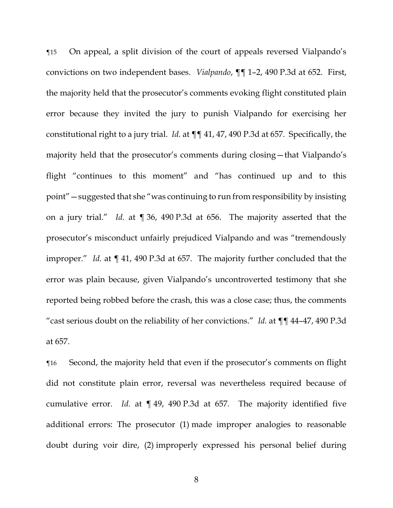¶15 On appeal, a split division of the court of appeals reversed Vialpando's convictions on two independent bases. *Vialpando*, ¶¶ 1–2, 490 P.3d at 652. First, the majority held that the prosecutor's comments evoking flight constituted plain error because they invited the jury to punish Vialpando for exercising her constitutional right to a jury trial. *Id.* at ¶¶ 41, 47, 490 P.3d at 657. Specifically, the majority held that the prosecutor's comments during closing—that Vialpando's flight "continues to this moment" and "has continued up and to this point"—suggested that she "was continuing to run from responsibility by insisting on a jury trial." *Id.* at ¶ 36, 490 P.3d at 656. The majority asserted that the prosecutor's misconduct unfairly prejudiced Vialpando and was "tremendously improper." *Id.* at ¶ 41, 490 P.3d at 657. The majority further concluded that the error was plain because, given Vialpando's uncontroverted testimony that she reported being robbed before the crash, this was a close case; thus, the comments "cast serious doubt on the reliability of her convictions." *Id.* at ¶¶ 44–47, 490 P.3d at 657.

¶16 Second, the majority held that even if the prosecutor's comments on flight did not constitute plain error, reversal was nevertheless required because of cumulative error. *Id.* at ¶ 49, 490 P.3d at 657. The majority identified five additional errors: The prosecutor (1) made improper analogies to reasonable doubt during voir dire, (2) improperly expressed his personal belief during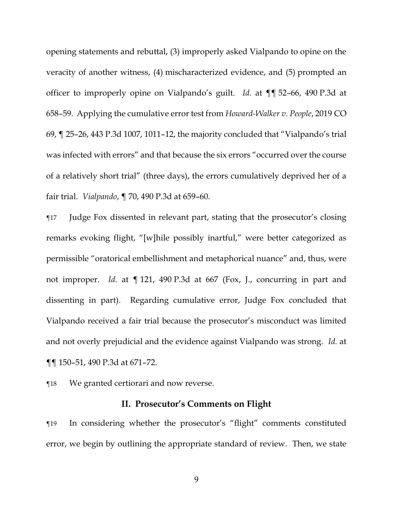opening statements and rebuttal, (3) improperly asked Vialpando to opine on the veracity of another witness, (4) mischaracterized evidence, and (5) prompted an officer to improperly opine on Vialpando's guilt. *Id.* at ¶¶ 52–66, 490 P.3d at 658–59. Applying the cumulative error test from *Howard-Walker v. People*, 2019 CO 69, ¶ 25–26, 443 P.3d 1007, 1011–12, the majority concluded that "Vialpando's trial was infected with errors" and that because the six errors "occurred over the course of a relatively short trial" (three days), the errors cumulatively deprived her of a fair trial. *Vialpando*, ¶ 70, 490 P.3d at 659–60.

¶17 Judge Fox dissented in relevant part, stating that the prosecutor's closing remarks evoking flight, "[w]hile possibly inartful," were better categorized as permissible "oratorical embellishment and metaphorical nuance" and, thus, were not improper. *Id.* at ¶ 121, 490 P.3d at 667 (Fox, J., concurring in part and dissenting in part). Regarding cumulative error, Judge Fox concluded that Vialpando received a fair trial because the prosecutor's misconduct was limited and not overly prejudicial and the evidence against Vialpando was strong. *Id.* at ¶¶ 150–51, 490 P.3d at 671–72.

¶18 We granted certiorari and now reverse.

#### **II. Prosecutor's Comments on Flight**

¶19 In considering whether the prosecutor's "flight" comments constituted error, we begin by outlining the appropriate standard of review. Then, we state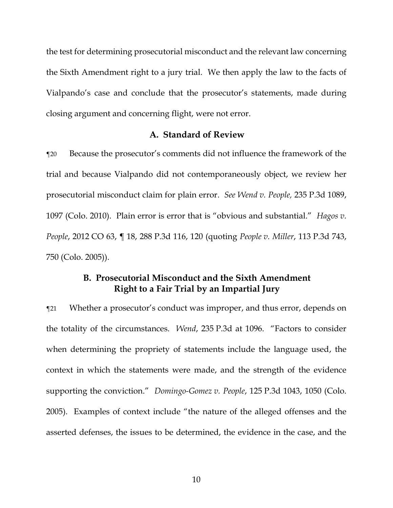the test for determining prosecutorial misconduct and the relevant law concerning the Sixth Amendment right to a jury trial. We then apply the law to the facts of Vialpando's case and conclude that the prosecutor's statements, made during closing argument and concerning flight, were not error.

#### **A. Standard of Review**

¶20 Because the prosecutor's comments did not influence the framework of the trial and because Vialpando did not contemporaneously object, we review her prosecutorial misconduct claim for plain error. *See Wend v. People,* 235 P.3d 1089, 1097 (Colo. 2010). Plain error is error that is "obvious and substantial." *Hagos v. People*, 2012 CO 63, ¶ 18, 288 P.3d 116, 120 (quoting *People v. Miller*, 113 P.3d 743, 750 (Colo. 2005)).

## **B. Prosecutorial Misconduct and the Sixth Amendment Right to a Fair Trial by an Impartial Jury**

¶21 Whether a prosecutor's conduct was improper, and thus error, depends on the totality of the circumstances. *Wend*, 235 P.3d at 1096. "Factors to consider when determining the propriety of statements include the language used, the context in which the statements were made, and the strength of the evidence supporting the conviction." *Domingo-Gomez v. People*, 125 P.3d 1043, 1050 (Colo. 2005). Examples of context include "the nature of the alleged offenses and the asserted defenses, the issues to be determined, the evidence in the case, and the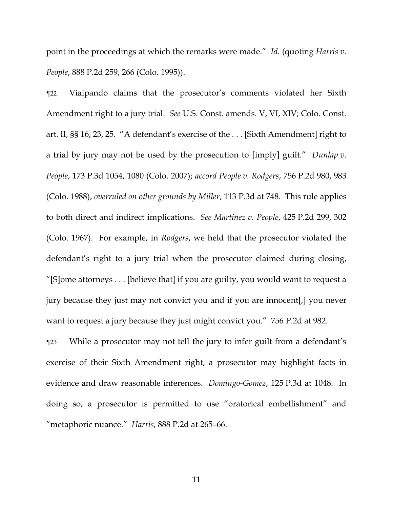point in the proceedings at which the remarks were made." *Id.* (quoting *Harris v. People*, 888 P.2d 259, 266 (Colo. 1995)).

¶22 Vialpando claims that the prosecutor's comments violated her Sixth Amendment right to a jury trial. *See* U.S. Const. amends. V, VI, XIV; Colo. Const. art. II, §§ 16, 23, 25. "A defendant's exercise of the . . . [Sixth Amendment] right to a trial by jury may not be used by the prosecution to [imply] guilt." *Dunlap v. People*, 173 P.3d 1054, 1080 (Colo. 2007); *accord People v. Rodgers*, 756 P.2d 980, 983 (Colo. 1988), *overruled on other grounds by Miller*, 113 P.3d at 748. This rule applies to both direct and indirect implications. *See Martinez v. People*, 425 P.2d 299, 302 (Colo. 1967). For example, in *Rodgers*, we held that the prosecutor violated the defendant's right to a jury trial when the prosecutor claimed during closing, "[S]ome attorneys . . . [believe that] if you are guilty, you would want to request a jury because they just may not convict you and if you are innocent[,] you never want to request a jury because they just might convict you." 756 P.2d at 982.

¶23 While a prosecutor may not tell the jury to infer guilt from a defendant's exercise of their Sixth Amendment right, a prosecutor may highlight facts in evidence and draw reasonable inferences. *Domingo-Gomez*, 125 P.3d at 1048. In doing so, a prosecutor is permitted to use "oratorical embellishment" and "metaphoric nuance." *Harris*, 888 P.2d at 265–66.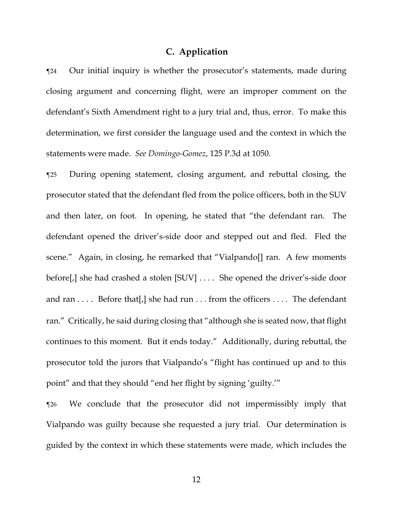### **C. Application**

¶24 Our initial inquiry is whether the prosecutor's statements, made during closing argument and concerning flight, were an improper comment on the defendant's Sixth Amendment right to a jury trial and, thus, error. To make this determination, we first consider the language used and the context in which the statements were made. *See Domingo-Gomez*, 125 P.3d at 1050.

¶25 During opening statement, closing argument, and rebuttal closing, the prosecutor stated that the defendant fled from the police officers, both in the SUV and then later, on foot. In opening, he stated that "the defendant ran. The defendant opened the driver's-side door and stepped out and fled. Fled the scene." Again, in closing, he remarked that "Vialpando[] ran. A few moments before[,] she had crashed a stolen [SUV] . . . . She opened the driver's-side door and ran  $\dots$  Before that [,] she had run  $\dots$  from the officers  $\dots$  The defendant ran." Critically, he said during closing that "although she is seated now, that flight continues to this moment. But it ends today." Additionally, during rebuttal, the prosecutor told the jurors that Vialpando's "flight has continued up and to this point" and that they should "end her flight by signing 'guilty.'"

¶26 We conclude that the prosecutor did not impermissibly imply that Vialpando was guilty because she requested a jury trial. Our determination is guided by the context in which these statements were made, which includes the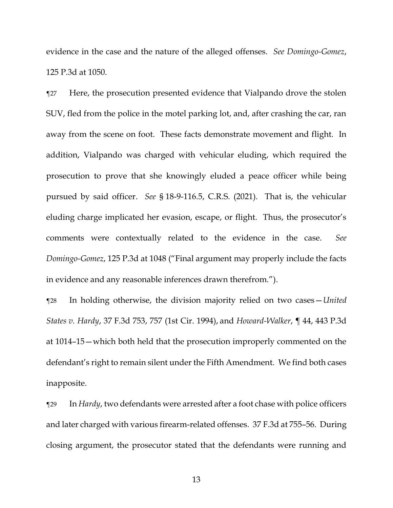evidence in the case and the nature of the alleged offenses. *See Domingo-Gomez*, 125 P.3d at 1050.

¶27 Here, the prosecution presented evidence that Vialpando drove the stolen SUV, fled from the police in the motel parking lot, and, after crashing the car, ran away from the scene on foot. These facts demonstrate movement and flight. In addition, Vialpando was charged with vehicular eluding, which required the prosecution to prove that she knowingly eluded a peace officer while being pursued by said officer. *See* § 18-9-116.5, C.R.S. (2021). That is, the vehicular eluding charge implicated her evasion, escape, or flight. Thus, the prosecutor's comments were contextually related to the evidence in the case. *See Domingo-Gomez*, 125 P.3d at 1048 ("Final argument may properly include the facts in evidence and any reasonable inferences drawn therefrom.").

¶28 In holding otherwise, the division majority relied on two cases—*United States v. Hardy*, 37 F.3d 753, 757 (1st Cir. 1994), and *Howard-Walker*, ¶ 44, 443 P.3d at 1014–15—which both held that the prosecution improperly commented on the defendant's right to remain silent under the Fifth Amendment. We find both cases inapposite.

¶29 In *Hardy*, two defendants were arrested after a foot chase with police officers and later charged with various firearm-related offenses. 37 F.3d at 755–56. During closing argument, the prosecutor stated that the defendants were running and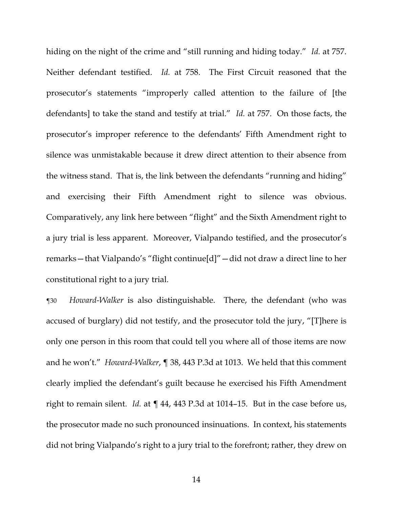hiding on the night of the crime and "still running and hiding today." *Id.* at 757. Neither defendant testified. *Id.* at 758. The First Circuit reasoned that the prosecutor's statements "improperly called attention to the failure of [the defendants] to take the stand and testify at trial." *Id.* at 757. On those facts, the prosecutor's improper reference to the defendants' Fifth Amendment right to silence was unmistakable because it drew direct attention to their absence from the witness stand. That is, the link between the defendants "running and hiding" and exercising their Fifth Amendment right to silence was obvious. Comparatively, any link here between "flight" and the Sixth Amendment right to a jury trial is less apparent. Moreover, Vialpando testified, and the prosecutor's remarks—that Vialpando's "flight continue[d]"—did not draw a direct line to her constitutional right to a jury trial.

¶30 *Howard-Walker* is also distinguishable. There, the defendant (who was accused of burglary) did not testify, and the prosecutor told the jury, "[T]here is only one person in this room that could tell you where all of those items are now and he won't." *Howard-Walker*, ¶ 38, 443 P.3d at 1013. We held that this comment clearly implied the defendant's guilt because he exercised his Fifth Amendment right to remain silent. *Id.* at ¶ 44, 443 P.3d at 1014–15. But in the case before us, the prosecutor made no such pronounced insinuations. In context, his statements did not bring Vialpando's right to a jury trial to the forefront; rather, they drew on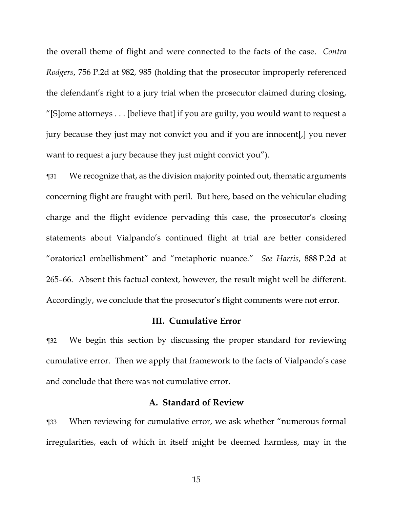the overall theme of flight and were connected to the facts of the case. *Contra Rodgers*, 756 P.2d at 982, 985 (holding that the prosecutor improperly referenced the defendant's right to a jury trial when the prosecutor claimed during closing, "[S]ome attorneys . . . [believe that] if you are guilty, you would want to request a jury because they just may not convict you and if you are innocent[,] you never want to request a jury because they just might convict you").

¶31 We recognize that, as the division majority pointed out, thematic arguments concerning flight are fraught with peril. But here, based on the vehicular eluding charge and the flight evidence pervading this case, the prosecutor's closing statements about Vialpando's continued flight at trial are better considered "oratorical embellishment" and "metaphoric nuance." *See Harris*, 888 P.2d at 265–66. Absent this factual context, however, the result might well be different. Accordingly, we conclude that the prosecutor's flight comments were not error.

#### **III. Cumulative Error**

¶32 We begin this section by discussing the proper standard for reviewing cumulative error. Then we apply that framework to the facts of Vialpando's case and conclude that there was not cumulative error.

### **A. Standard of Review**

¶33 When reviewing for cumulative error, we ask whether "numerous formal irregularities, each of which in itself might be deemed harmless, may in the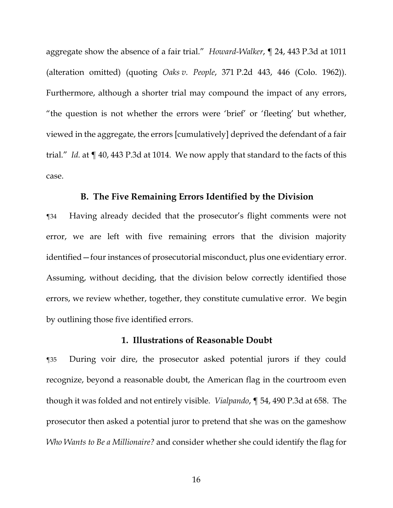aggregate show the absence of a fair trial." *Howard-Walker*, ¶ 24, 443 P.3d at 1011 (alteration omitted) (quoting *Oaks v. People*, 371 P.2d 443, 446 (Colo. 1962)). Furthermore, although a shorter trial may compound the impact of any errors, "the question is not whether the errors were 'brief' or 'fleeting' but whether, viewed in the aggregate, the errors [cumulatively] deprived the defendant of a fair trial." *Id.* at ¶ 40, 443 P.3d at 1014. We now apply that standard to the facts of this case.

#### **B. The Five Remaining Errors Identified by the Division**

¶34 Having already decided that the prosecutor's flight comments were not error, we are left with five remaining errors that the division majority identified—four instances of prosecutorial misconduct, plus one evidentiary error. Assuming, without deciding, that the division below correctly identified those errors, we review whether, together, they constitute cumulative error. We begin by outlining those five identified errors.

### **1. Illustrations of Reasonable Doubt**

¶35 During voir dire, the prosecutor asked potential jurors if they could recognize, beyond a reasonable doubt, the American flag in the courtroom even though it was folded and not entirely visible. *Vialpando*, ¶ 54, 490 P.3d at 658. The prosecutor then asked a potential juror to pretend that she was on the gameshow *Who Wants to Be a Millionaire?* and consider whether she could identify the flag for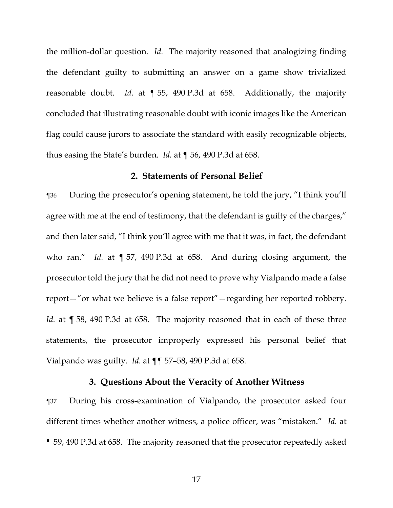the million-dollar question. *Id.* The majority reasoned that analogizing finding the defendant guilty to submitting an answer on a game show trivialized reasonable doubt. *Id.* at ¶ 55, 490 P.3d at 658. Additionally, the majority concluded that illustrating reasonable doubt with iconic images like the American flag could cause jurors to associate the standard with easily recognizable objects, thus easing the State's burden. *Id.* at ¶ 56, 490 P.3d at 658.

#### **2. Statements of Personal Belief**

¶36 During the prosecutor's opening statement, he told the jury, "I think you'll agree with me at the end of testimony, that the defendant is guilty of the charges," and then later said, "I think you'll agree with me that it was, in fact, the defendant who ran." *Id.* at ¶ 57, 490 P.3d at 658. And during closing argument, the prosecutor told the jury that he did not need to prove why Vialpando made a false report—"or what we believe is a false report"—regarding her reported robbery. *Id.* at  $\sqrt{98}$ , 490 P.3d at 658. The majority reasoned that in each of these three statements, the prosecutor improperly expressed his personal belief that Vialpando was guilty. *Id.* at ¶¶ 57–58, 490 P.3d at 658.

## **3. Questions About the Veracity of Another Witness**

¶37 During his cross-examination of Vialpando, the prosecutor asked four different times whether another witness, a police officer, was "mistaken." *Id.* at ¶ 59, 490 P.3d at 658. The majority reasoned that the prosecutor repeatedly asked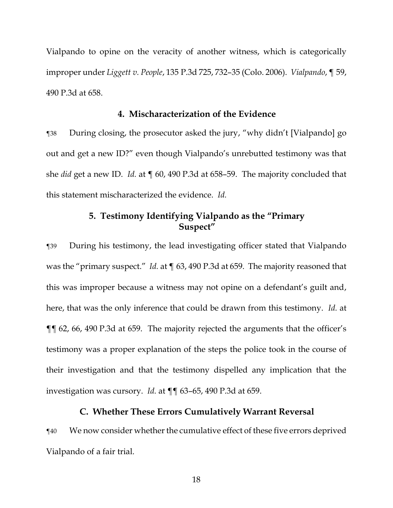Vialpando to opine on the veracity of another witness, which is categorically improper under *Liggett v. People*, 135 P.3d 725, 732–35 (Colo. 2006). *Vialpando*, ¶ 59, 490 P.3d at 658.

### **4. Mischaracterization of the Evidence**

¶38 During closing, the prosecutor asked the jury, "why didn't [Vialpando] go out and get a new ID?" even though Vialpando's unrebutted testimony was that she *did* get a new ID. *Id.* at ¶ 60, 490 P.3d at 658–59. The majority concluded that this statement mischaracterized the evidence. *Id.*

# **5. Testimony Identifying Vialpando as the "Primary Suspect"**

¶39 During his testimony, the lead investigating officer stated that Vialpando was the "primary suspect." *Id.* at ¶ 63, 490 P.3d at 659. The majority reasoned that this was improper because a witness may not opine on a defendant's guilt and, here, that was the only inference that could be drawn from this testimony. *Id.* at ¶¶ 62, 66, 490 P.3d at 659. The majority rejected the arguments that the officer's testimony was a proper explanation of the steps the police took in the course of their investigation and that the testimony dispelled any implication that the investigation was cursory. *Id.* at ¶¶ 63–65, 490 P.3d at 659.

## **C. Whether These Errors Cumulatively Warrant Reversal**

¶40 We now consider whether the cumulative effect of these five errors deprived Vialpando of a fair trial.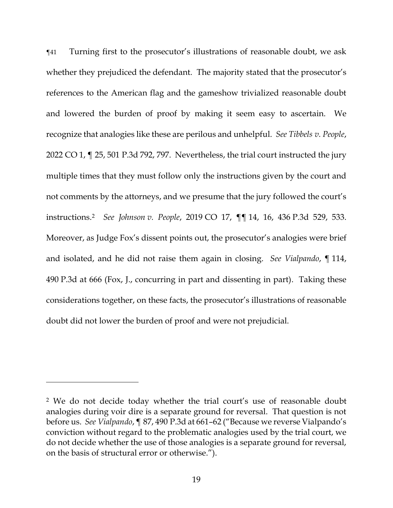¶41 Turning first to the prosecutor's illustrations of reasonable doubt, we ask whether they prejudiced the defendant. The majority stated that the prosecutor's references to the American flag and the gameshow trivialized reasonable doubt and lowered the burden of proof by making it seem easy to ascertain. We recognize that analogies like these are perilous and unhelpful. *See Tibbels v. People*, 2022 CO 1, ¶ 25, 501 P.3d 792, 797. Nevertheless, the trial court instructed the jury multiple times that they must follow only the instructions given by the court and not comments by the attorneys, and we presume that the jury followed the court's instructions.<sup>2</sup> *See Johnson v. People*, 2019 CO 17, ¶¶ 14, 16, 436 P.3d 529, 533. Moreover, as Judge Fox's dissent points out, the prosecutor's analogies were brief and isolated, and he did not raise them again in closing. *See Vialpando*, ¶ 114, 490 P.3d at 666 (Fox, J., concurring in part and dissenting in part). Taking these considerations together, on these facts, the prosecutor's illustrations of reasonable doubt did not lower the burden of proof and were not prejudicial.

<sup>2</sup> We do not decide today whether the trial court's use of reasonable doubt analogies during voir dire is a separate ground for reversal. That question is not before us. *See Vialpando*, ¶ 87, 490 P.3d at 661–62 ("Because we reverse Vialpando's conviction without regard to the problematic analogies used by the trial court, we do not decide whether the use of those analogies is a separate ground for reversal, on the basis of structural error or otherwise.").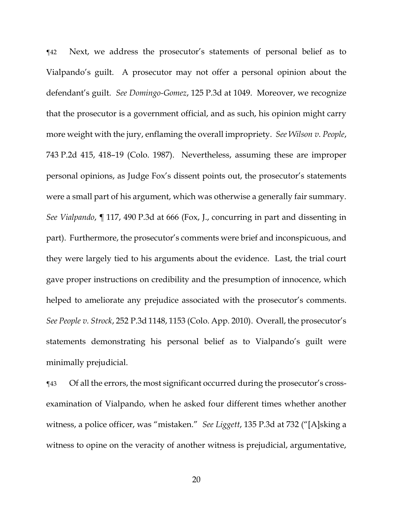¶42 Next, we address the prosecutor's statements of personal belief as to Vialpando's guilt. A prosecutor may not offer a personal opinion about the defendant's guilt. *See Domingo-Gomez*, 125 P.3d at 1049. Moreover, we recognize that the prosecutor is a government official, and as such, his opinion might carry more weight with the jury, enflaming the overall impropriety. *See Wilson v. People*, 743 P.2d 415, 418–19 (Colo. 1987). Nevertheless, assuming these are improper personal opinions, as Judge Fox's dissent points out, the prosecutor's statements were a small part of his argument, which was otherwise a generally fair summary. *See Vialpando*, ¶ 117, 490 P.3d at 666 (Fox, J., concurring in part and dissenting in part). Furthermore, the prosecutor's comments were brief and inconspicuous, and they were largely tied to his arguments about the evidence. Last, the trial court gave proper instructions on credibility and the presumption of innocence, which helped to ameliorate any prejudice associated with the prosecutor's comments. *See People v. Strock*, 252 P.3d 1148, 1153 (Colo. App. 2010). Overall, the prosecutor's statements demonstrating his personal belief as to Vialpando's guilt were minimally prejudicial.

¶43 Of all the errors, the most significant occurred during the prosecutor's crossexamination of Vialpando, when he asked four different times whether another witness, a police officer, was "mistaken." *See Liggett*, 135 P.3d at 732 ("[A]sking a witness to opine on the veracity of another witness is prejudicial, argumentative,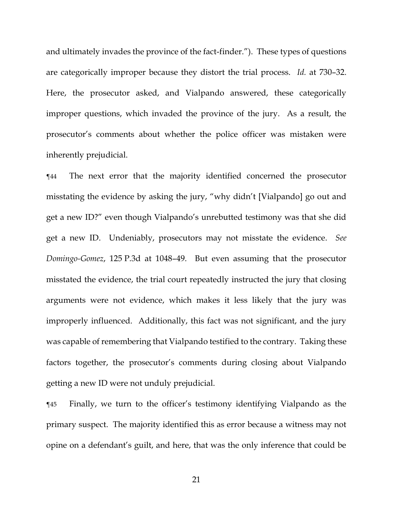and ultimately invades the province of the fact-finder."). These types of questions are categorically improper because they distort the trial process. *Id.* at 730–32. Here, the prosecutor asked, and Vialpando answered, these categorically improper questions, which invaded the province of the jury. As a result, the prosecutor's comments about whether the police officer was mistaken were inherently prejudicial.

¶44 The next error that the majority identified concerned the prosecutor misstating the evidence by asking the jury, "why didn't [Vialpando] go out and get a new ID?" even though Vialpando's unrebutted testimony was that she did get a new ID. Undeniably, prosecutors may not misstate the evidence. *See Domingo-Gomez*, 125 P.3d at 1048–49. But even assuming that the prosecutor misstated the evidence, the trial court repeatedly instructed the jury that closing arguments were not evidence, which makes it less likely that the jury was improperly influenced. Additionally, this fact was not significant, and the jury was capable of remembering that Vialpando testified to the contrary. Taking these factors together, the prosecutor's comments during closing about Vialpando getting a new ID were not unduly prejudicial.

¶45 Finally, we turn to the officer's testimony identifying Vialpando as the primary suspect. The majority identified this as error because a witness may not opine on a defendant's guilt, and here, that was the only inference that could be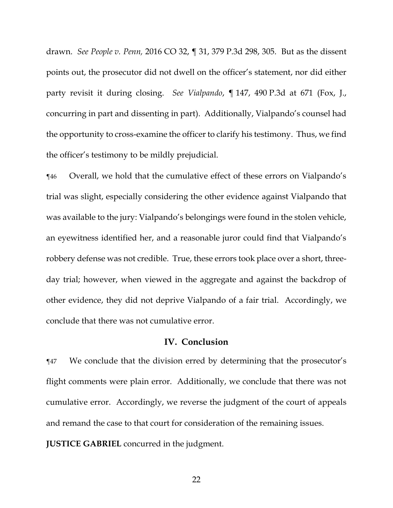drawn. *See People v. Penn,* 2016 CO 32, ¶ 31, 379 P.3d 298, 305. But as the dissent points out, the prosecutor did not dwell on the officer's statement, nor did either party revisit it during closing. *See Vialpando*, ¶ 147, 490 P.3d at 671 (Fox, J., concurring in part and dissenting in part). Additionally, Vialpando's counsel had the opportunity to cross-examine the officer to clarify his testimony. Thus, we find the officer's testimony to be mildly prejudicial.

¶46 Overall, we hold that the cumulative effect of these errors on Vialpando's trial was slight, especially considering the other evidence against Vialpando that was available to the jury: Vialpando's belongings were found in the stolen vehicle, an eyewitness identified her, and a reasonable juror could find that Vialpando's robbery defense was not credible. True, these errors took place over a short, threeday trial; however, when viewed in the aggregate and against the backdrop of other evidence, they did not deprive Vialpando of a fair trial. Accordingly, we conclude that there was not cumulative error.

#### **IV. Conclusion**

¶47 We conclude that the division erred by determining that the prosecutor's flight comments were plain error. Additionally, we conclude that there was not cumulative error. Accordingly, we reverse the judgment of the court of appeals and remand the case to that court for consideration of the remaining issues.

**JUSTICE GABRIEL** concurred in the judgment.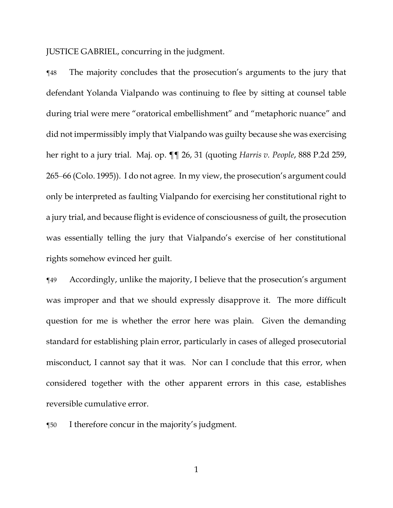JUSTICE GABRIEL, concurring in the judgment.

¶48 The majority concludes that the prosecution's arguments to the jury that defendant Yolanda Vialpando was continuing to flee by sitting at counsel table during trial were mere "oratorical embellishment" and "metaphoric nuance" and did not impermissibly imply that Vialpando was guilty because she was exercising her right to a jury trial. Maj. op. ¶¶ 26, 31 (quoting *Harris v. People*, 888 P.2d 259, 265–66 (Colo. 1995)). I do not agree. In my view, the prosecution's argument could only be interpreted as faulting Vialpando for exercising her constitutional right to a jury trial, and because flight is evidence of consciousness of guilt, the prosecution was essentially telling the jury that Vialpando's exercise of her constitutional rights somehow evinced her guilt.

¶49 Accordingly, unlike the majority, I believe that the prosecution's argument was improper and that we should expressly disapprove it. The more difficult question for me is whether the error here was plain. Given the demanding standard for establishing plain error, particularly in cases of alleged prosecutorial misconduct, I cannot say that it was. Nor can I conclude that this error, when considered together with the other apparent errors in this case, establishes reversible cumulative error.

¶50 I therefore concur in the majority's judgment.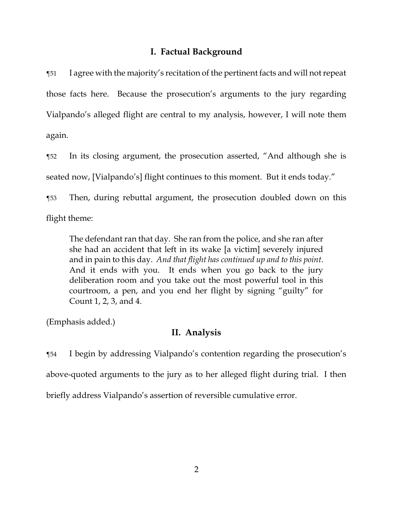# **I. Factual Background**

¶51 I agree with the majority's recitation of the pertinent facts and will not repeat those facts here. Because the prosecution's arguments to the jury regarding Vialpando's alleged flight are central to my analysis, however, I will note them again.

¶52 In its closing argument, the prosecution asserted, "And although she is seated now, [Vialpando's] flight continues to this moment. But it ends today." ¶53 Then, during rebuttal argument, the prosecution doubled down on this

flight theme:

The defendant ran that day. She ran from the police, and she ran after she had an accident that left in its wake [a victim] severely injured and in pain to this day. *And that flight has continued up and to this point*. And it ends with you. It ends when you go back to the jury deliberation room and you take out the most powerful tool in this courtroom, a pen, and you end her flight by signing "guilty" for Count 1, 2, 3, and 4.

(Emphasis added.)

# **II. Analysis**

¶54 I begin by addressing Vialpando's contention regarding the prosecution's above-quoted arguments to the jury as to her alleged flight during trial. I then briefly address Vialpando's assertion of reversible cumulative error.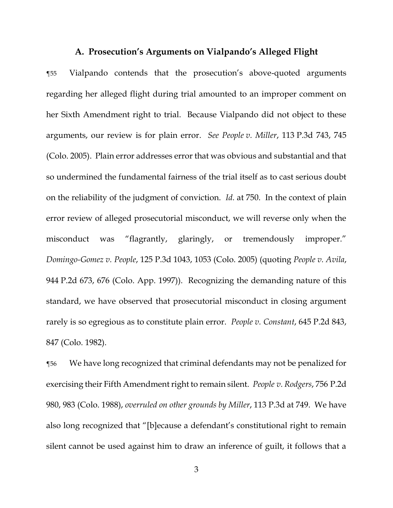### **A. Prosecution's Arguments on Vialpando's Alleged Flight**

¶55 Vialpando contends that the prosecution's above-quoted arguments regarding her alleged flight during trial amounted to an improper comment on her Sixth Amendment right to trial. Because Vialpando did not object to these arguments, our review is for plain error. *See People v. Miller*, 113 P.3d 743, 745 (Colo. 2005). Plain error addresses error that was obvious and substantial and that so undermined the fundamental fairness of the trial itself as to cast serious doubt on the reliability of the judgment of conviction. *Id.* at 750. In the context of plain error review of alleged prosecutorial misconduct, we will reverse only when the misconduct was "flagrantly, glaringly, or tremendously improper." *Domingo-Gomez v. People*, 125 P.3d 1043, 1053 (Colo. 2005) (quoting *People v. Avila*, 944 P.2d 673, 676 (Colo. App. 1997)). Recognizing the demanding nature of this standard, we have observed that prosecutorial misconduct in closing argument rarely is so egregious as to constitute plain error. *People v. Constant*, 645 P.2d 843, 847 (Colo. 1982).

¶56 We have long recognized that criminal defendants may not be penalized for exercising their Fifth Amendment right to remain silent. *People v. Rodgers*, 756 P.2d 980, 983 (Colo. 1988), *overruled on other grounds by Miller*, 113 P.3d at 749. We have also long recognized that "[b]ecause a defendant's constitutional right to remain silent cannot be used against him to draw an inference of guilt, it follows that a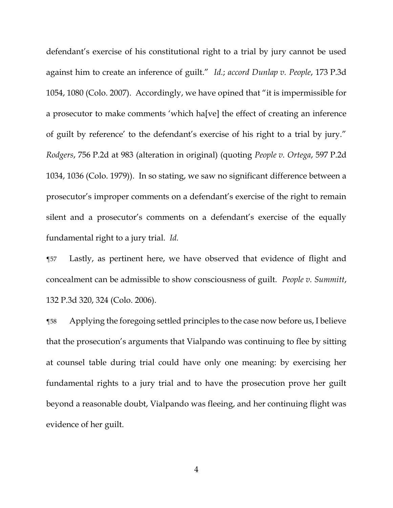defendant's exercise of his constitutional right to a trial by jury cannot be used against him to create an inference of guilt." *Id.*; *accord Dunlap v. People*, 173 P.3d 1054, 1080 (Colo. 2007).Accordingly, we have opined that "it is impermissible for a prosecutor to make comments 'which ha[ve] the effect of creating an inference of guilt by reference' to the defendant's exercise of his right to a trial by jury." *Rodgers*, 756 P.2d at 983 (alteration in original) (quoting *People v. Ortega*, 597 P.2d 1034, 1036 (Colo. 1979)). In so stating, we saw no significant difference between a prosecutor's improper comments on a defendant's exercise of the right to remain silent and a prosecutor's comments on a defendant's exercise of the equally fundamental right to a jury trial. *Id.*

¶57 Lastly, as pertinent here, we have observed that evidence of flight and concealment can be admissible to show consciousness of guilt. *People v. Summitt*, 132 P.3d 320, 324 (Colo. 2006).

¶58 Applying the foregoing settled principles to the case now before us, I believe that the prosecution's arguments that Vialpando was continuing to flee by sitting at counsel table during trial could have only one meaning: by exercising her fundamental rights to a jury trial and to have the prosecution prove her guilt beyond a reasonable doubt, Vialpando was fleeing, and her continuing flight was evidence of her guilt.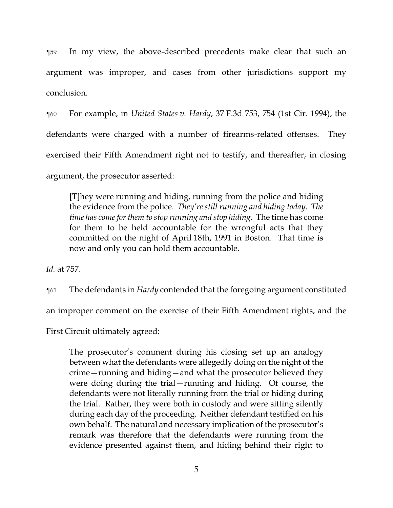¶59 In my view, the above-described precedents make clear that such an argument was improper, and cases from other jurisdictions support my conclusion.

¶60 For example, in *United States v. Hardy*, 37 F.3d 753, 754 (1st Cir. 1994), the defendants were charged with a number of firearms-related offenses. They exercised their Fifth Amendment right not to testify, and thereafter, in closing argument, the prosecutor asserted:

[T]hey were running and hiding, running from the police and hiding the evidence from the police. *They're still running and hiding today. The time has come for them to stop running and stop hiding*. The time has come for them to be held accountable for the wrongful acts that they committed on the night of April 18th, 1991 in Boston. That time is now and only you can hold them accountable.

*Id.* at 757.

¶61 The defendants in *Hardy* contended that the foregoing argument constituted

an improper comment on the exercise of their Fifth Amendment rights, and the

First Circuit ultimately agreed:

The prosecutor's comment during his closing set up an analogy between what the defendants were allegedly doing on the night of the crime—running and hiding—and what the prosecutor believed they were doing during the trial—running and hiding. Of course, the defendants were not literally running from the trial or hiding during the trial. Rather, they were both in custody and were sitting silently during each day of the proceeding. Neither defendant testified on his own behalf. The natural and necessary implication of the prosecutor's remark was therefore that the defendants were running from the evidence presented against them, and hiding behind their right to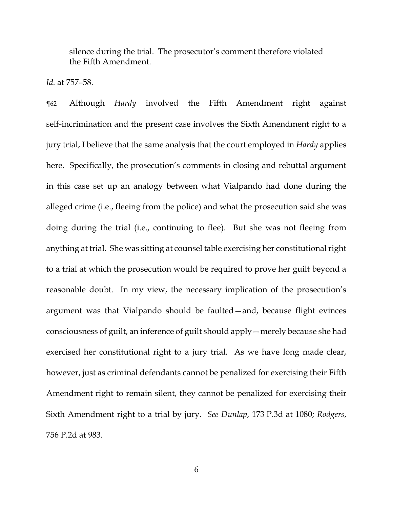silence during the trial. The prosecutor's comment therefore violated the Fifth Amendment.

*Id.* at 757–58.

¶62 Although *Hardy* involved the Fifth Amendment right against self-incrimination and the present case involves the Sixth Amendment right to a jury trial, I believe that the same analysis that the court employed in *Hardy* applies here. Specifically, the prosecution's comments in closing and rebuttal argument in this case set up an analogy between what Vialpando had done during the alleged crime (i.e., fleeing from the police) and what the prosecution said she was doing during the trial (i.e., continuing to flee). But she was not fleeing from anything at trial. She was sitting at counsel table exercising her constitutional right to a trial at which the prosecution would be required to prove her guilt beyond a reasonable doubt. In my view, the necessary implication of the prosecution's argument was that Vialpando should be faulted—and, because flight evinces consciousness of guilt, an inference of guilt should apply—merely because she had exercised her constitutional right to a jury trial. As we have long made clear, however, just as criminal defendants cannot be penalized for exercising their Fifth Amendment right to remain silent, they cannot be penalized for exercising their Sixth Amendment right to a trial by jury. *See Dunlap*, 173 P.3d at 1080; *Rodgers*, 756 P.2d at 983.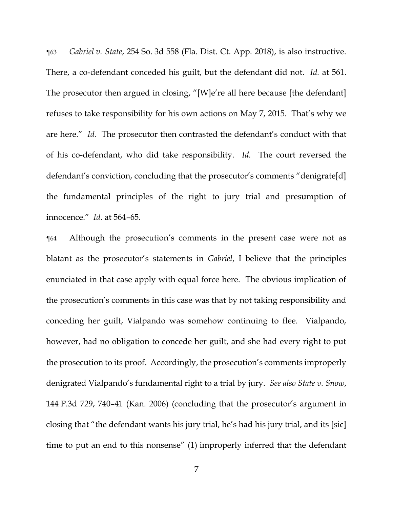¶63 *Gabriel v. State*, 254 So. 3d 558 (Fla. Dist. Ct. App. 2018), is also instructive. There, a co-defendant conceded his guilt, but the defendant did not. *Id.* at 561. The prosecutor then argued in closing, "[W]e're all here because [the defendant] refuses to take responsibility for his own actions on May 7, 2015. That's why we are here." *Id.* The prosecutor then contrasted the defendant's conduct with that of his co-defendant, who did take responsibility. *Id.* The court reversed the defendant's conviction, concluding that the prosecutor's comments "denigrate[d] the fundamental principles of the right to jury trial and presumption of innocence." *Id.* at 564–65.

¶64 Although the prosecution's comments in the present case were not as blatant as the prosecutor's statements in *Gabriel*, I believe that the principles enunciated in that case apply with equal force here. The obvious implication of the prosecution's comments in this case was that by not taking responsibility and conceding her guilt, Vialpando was somehow continuing to flee. Vialpando, however, had no obligation to concede her guilt, and she had every right to put the prosecution to its proof. Accordingly, the prosecution's comments improperly denigrated Vialpando's fundamental right to a trial by jury. *See also State v. Snow*, 144 P.3d 729, 740–41 (Kan. 2006) (concluding that the prosecutor's argument in closing that "the defendant wants his jury trial, he's had his jury trial, and its [sic] time to put an end to this nonsense" (1) improperly inferred that the defendant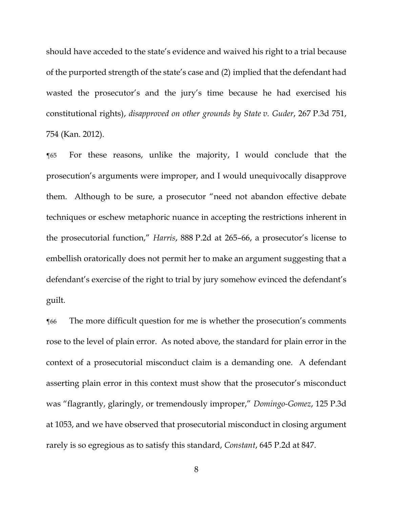should have acceded to the state's evidence and waived his right to a trial because of the purported strength of the state's case and (2) implied that the defendant had wasted the prosecutor's and the jury's time because he had exercised his constitutional rights), *disapproved on other grounds by State v. Guder*, 267 P.3d 751, 754 (Kan. 2012).

¶65 For these reasons, unlike the majority, I would conclude that the prosecution's arguments were improper, and I would unequivocally disapprove them. Although to be sure, a prosecutor "need not abandon effective debate techniques or eschew metaphoric nuance in accepting the restrictions inherent in the prosecutorial function," *Harris*, 888 P.2d at 265–66, a prosecutor's license to embellish oratorically does not permit her to make an argument suggesting that a defendant's exercise of the right to trial by jury somehow evinced the defendant's guilt.

¶66 The more difficult question for me is whether the prosecution's comments rose to the level of plain error. As noted above, the standard for plain error in the context of a prosecutorial misconduct claim is a demanding one. A defendant asserting plain error in this context must show that the prosecutor's misconduct was "flagrantly, glaringly, or tremendously improper," *Domingo-Gomez*, 125 P.3d at 1053, and we have observed that prosecutorial misconduct in closing argument rarely is so egregious as to satisfy this standard, *Constant*, 645 P.2d at 847.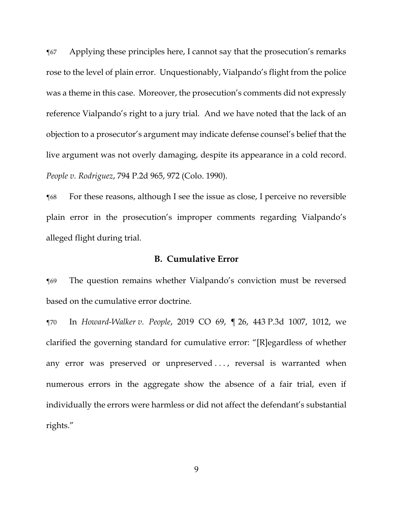¶67 Applying these principles here, I cannot say that the prosecution's remarks rose to the level of plain error. Unquestionably, Vialpando's flight from the police was a theme in this case. Moreover, the prosecution's comments did not expressly reference Vialpando's right to a jury trial. And we have noted that the lack of an objection to a prosecutor's argument may indicate defense counsel's belief that the live argument was not overly damaging, despite its appearance in a cold record. *People v. Rodriguez*, 794 P.2d 965, 972 (Colo. 1990).

¶68 For these reasons, although I see the issue as close, I perceive no reversible plain error in the prosecution's improper comments regarding Vialpando's alleged flight during trial.

### **B. Cumulative Error**

¶69 The question remains whether Vialpando's conviction must be reversed based on the cumulative error doctrine.

¶70 In *Howard-Walker v. People*, 2019 CO 69, ¶ 26, 443 P.3d 1007, 1012, we clarified the governing standard for cumulative error: "[R]egardless of whether any error was preserved or unpreserved ..., reversal is warranted when numerous errors in the aggregate show the absence of a fair trial, even if individually the errors were harmless or did not affect the defendant's substantial rights."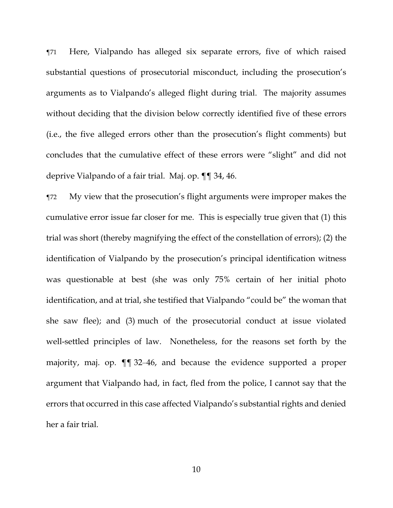¶71 Here, Vialpando has alleged six separate errors, five of which raised substantial questions of prosecutorial misconduct, including the prosecution's arguments as to Vialpando's alleged flight during trial. The majority assumes without deciding that the division below correctly identified five of these errors (i.e., the five alleged errors other than the prosecution's flight comments) but concludes that the cumulative effect of these errors were "slight" and did not deprive Vialpando of a fair trial. Maj. op. ¶¶ 34, 46.

¶72 My view that the prosecution's flight arguments were improper makes the cumulative error issue far closer for me. This is especially true given that (1) this trial was short (thereby magnifying the effect of the constellation of errors); (2) the identification of Vialpando by the prosecution's principal identification witness was questionable at best (she was only 75% certain of her initial photo identification, and at trial, she testified that Vialpando "could be" the woman that she saw flee); and (3) much of the prosecutorial conduct at issue violated well-settled principles of law. Nonetheless, for the reasons set forth by the majority, maj. op. ¶¶ 32–46, and because the evidence supported a proper argument that Vialpando had, in fact, fled from the police, I cannot say that the errors that occurred in this case affected Vialpando's substantial rights and denied her a fair trial.